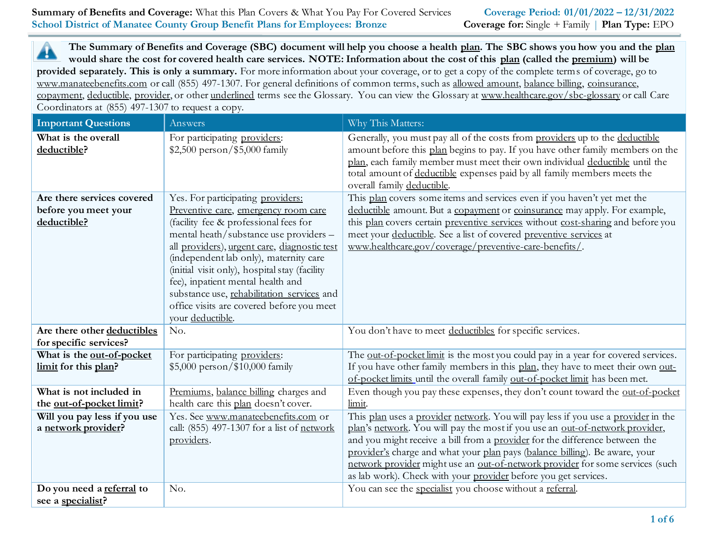**Summary of Benefits and Coverage:** What this Plan Covers & What You Pay For Covered Services **Coverage Period: 01/01/2022 – 12/31/2022 School District of Manatee County Group Benefit Plans for Employees: Bronze** Coverage for: Single + Family | **Plan Type:** EPO

**The Summary of Benefits and Coverage (SBC) document will help you choose a health plan. The SBC shows you how you and the plan** ▲ **would share the cost for covered health care services. NOTE: Information about the cost of this plan (called the premium) will be provided separately. This is only a summary.** For more information about your coverage, or to get a copy of the complete terms of coverage, go to www.manateebenefits.com or call (855) 497-1307. For general definitions of common terms, such as allowed amount, balance billing, coinsurance, copayment, deductible, provider, or other underlined terms see the Glossary. You can view the Glossary at www.healthcare.gov/sbc-glossary or call Care Coordinators at (855) 497-1307 to request a copy.

| <b>Important Questions</b>                                        | Answers                                                                                                                                                                                                                                                                                                                                                                                                                                                     | Why This Matters:                                                                                                                                                                                                                                                                                                                                                                                                                                                                   |
|-------------------------------------------------------------------|-------------------------------------------------------------------------------------------------------------------------------------------------------------------------------------------------------------------------------------------------------------------------------------------------------------------------------------------------------------------------------------------------------------------------------------------------------------|-------------------------------------------------------------------------------------------------------------------------------------------------------------------------------------------------------------------------------------------------------------------------------------------------------------------------------------------------------------------------------------------------------------------------------------------------------------------------------------|
| What is the overall<br>deductible?                                | For participating providers:<br>\$2,500 person/\$5,000 family                                                                                                                                                                                                                                                                                                                                                                                               | Generally, you must pay all of the costs from providers up to the deductible<br>amount before this plan begins to pay. If you have other family members on the<br>plan, each family member must meet their own individual deductible until the<br>total amount of deductible expenses paid by all family members meets the<br>overall family deductible.                                                                                                                            |
| Are there services covered<br>before you meet your<br>deductible? | Yes. For participating providers:<br>Preventive care, emergency room care<br>(facility fee & professional fees for<br>mental heath/substance use providers -<br>all providers), urgent care, diagnostic test<br>(independent lab only), maternity care<br>(initial visit only), hospital stay (facility<br>fee), inpatient mental health and<br>substance use, rehabilitation services and<br>office visits are covered before you meet<br>your deductible. | This plan covers some items and services even if you haven't yet met the<br>deductible amount. But a copayment or coinsurance may apply. For example,<br>this plan covers certain preventive services without cost-sharing and before you<br>meet your deductible. See a list of covered preventive services at<br>www.healthcare.gov/coverage/preventive-care-benefits/.                                                                                                           |
| Are there other deductibles<br>for specific services?             | No.                                                                                                                                                                                                                                                                                                                                                                                                                                                         | You don't have to meet deductibles for specific services.                                                                                                                                                                                                                                                                                                                                                                                                                           |
| What is the out-of-pocket<br>limit for this plan?                 | For participating providers:<br>$$5,000$ person/\$10,000 family                                                                                                                                                                                                                                                                                                                                                                                             | The out-of-pocket limit is the most you could pay in a year for covered services.<br>If you have other family members in this plan, they have to meet their own out-<br>of-pocket limits until the overall family out-of-pocket limit has been met.                                                                                                                                                                                                                                 |
| What is not included in<br>the out-of-pocket limit?               | Premiums, balance billing charges and<br>health care this plan doesn't cover.                                                                                                                                                                                                                                                                                                                                                                               | Even though you pay these expenses, they don't count toward the out-of-pocket<br>limit.                                                                                                                                                                                                                                                                                                                                                                                             |
| Will you pay less if you use<br>a network provider?               | Yes. See www.manateebenefits.com or<br>call: (855) 497-1307 for a list of network<br>providers.                                                                                                                                                                                                                                                                                                                                                             | This plan uses a provider network. You will pay less if you use a provider in the<br>plan's network. You will pay the most if you use an out-of-network provider,<br>and you might receive a bill from a provider for the difference between the<br>provider's charge and what your plan pays (balance billing). Be aware, your<br>network provider might use an out-of-network provider for some services (such<br>as lab work). Check with your provider before you get services. |
| Do you need a referral to<br>see a specialist?                    | No.                                                                                                                                                                                                                                                                                                                                                                                                                                                         | You can see the specialist you choose without a referral.                                                                                                                                                                                                                                                                                                                                                                                                                           |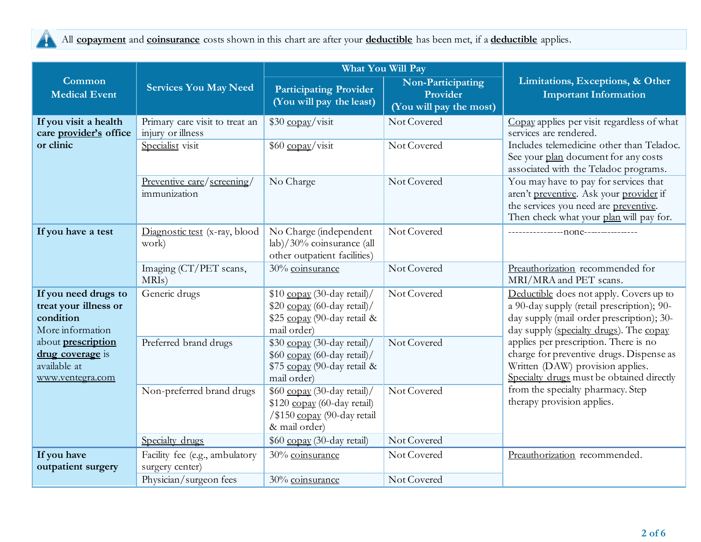

All **copayment** and **coinsurance** costs shown in this chart are after your **deductible** has been met, if a **deductible** applies.

|                                                                                   |                                                     |                                                                                                            | What You Will Pay                                        |                                                                                                                                                                               |
|-----------------------------------------------------------------------------------|-----------------------------------------------------|------------------------------------------------------------------------------------------------------------|----------------------------------------------------------|-------------------------------------------------------------------------------------------------------------------------------------------------------------------------------|
| Common<br><b>Medical Event</b>                                                    | <b>Services You May Need</b>                        | <b>Participating Provider</b><br>(You will pay the least)                                                  | Non-Participating<br>Provider<br>(You will pay the most) | Limitations, Exceptions, & Other<br><b>Important Information</b>                                                                                                              |
| If you visit a health<br>care provider's office                                   | Primary care visit to treat an<br>injury or illness | \$30 copay/visit                                                                                           | Not Covered                                              | Copay applies per visit regardless of what<br>services are rendered.                                                                                                          |
| or clinic                                                                         | Specialist visit                                    | \$60 copay/visit                                                                                           | Not Covered                                              | Includes telemedicine other than Teladoc.<br>See your plan document for any costs<br>associated with the Teladoc programs.                                                    |
|                                                                                   | Preventive care/screening/<br>immunization          | No Charge                                                                                                  | Not Covered                                              | You may have to pay for services that<br>aren't preventive. Ask your provider if<br>the services you need are preventive.<br>Then check what your plan will pay for.          |
| If you have a test                                                                | Diagnostic test (x-ray, blood<br>work)              | No Charge (independent<br>lab)/30% coinsurance (all<br>other outpatient facilities)                        | Not Covered                                              |                                                                                                                                                                               |
|                                                                                   | Imaging (CT/PET scans,<br>MRIs)                     | 30% coinsurance                                                                                            | Not Covered                                              | Preauthorization recommended for<br>MRI/MRA and PET scans.                                                                                                                    |
| If you need drugs to<br>treat your illness or<br>condition<br>More information    | Generic drugs                                       | \$10 copay (30-day retail)/<br>\$20 copay (60-day retail)/<br>\$25 copay (90-day retail &<br>mail order)   | Not Covered                                              | Deductible does not apply. Covers up to<br>a 90-day supply (retail prescription); 90-<br>day supply (mail order prescription); 30-<br>day supply (specialty drugs). The copay |
| about <b>prescription</b><br>drug coverage is<br>available at<br>www.ventegra.com | Preferred brand drugs                               | \$30 copay (30-day retail)/<br>\$60 copay (60-day retail)/<br>\$75 copay (90-day retail &<br>mail order)   | Not Covered                                              | applies per prescription. There is no<br>charge for preventive drugs. Dispense as<br>Written (DAW) provision applies.<br>Specialty drugs must be obtained directly            |
|                                                                                   | Non-preferred brand drugs                           | \$60 copay (30-day retail)/<br>\$120 copay (60-day retail)<br>/\$150 copay (90-day retail<br>& mail order) | Not Covered                                              | from the specialty pharmacy. Step<br>therapy provision applies.                                                                                                               |
|                                                                                   | Specialty drugs                                     | \$60 copay (30-day retail)                                                                                 | Not Covered                                              |                                                                                                                                                                               |
| If you have<br>outpatient surgery                                                 | Facility fee (e.g., ambulatory<br>surgery center)   | 30% coinsurance                                                                                            | Not Covered                                              | Preauthorization recommended.                                                                                                                                                 |
|                                                                                   | Physician/surgeon fees                              | 30% coinsurance                                                                                            | Not Covered                                              |                                                                                                                                                                               |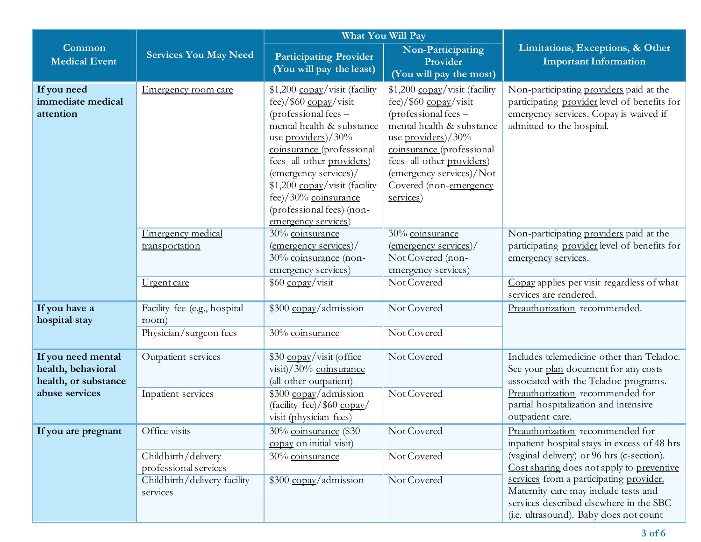|                                                                  |                                                                 | What You Will Pay                                                                                                                                                                                                                                                                                                                   |                                                                                                                                                                                                                                                                  |                                                                                                                                                                                                                                                                                                                                                    |
|------------------------------------------------------------------|-----------------------------------------------------------------|-------------------------------------------------------------------------------------------------------------------------------------------------------------------------------------------------------------------------------------------------------------------------------------------------------------------------------------|------------------------------------------------------------------------------------------------------------------------------------------------------------------------------------------------------------------------------------------------------------------|----------------------------------------------------------------------------------------------------------------------------------------------------------------------------------------------------------------------------------------------------------------------------------------------------------------------------------------------------|
| Common<br><b>Medical Event</b>                                   | <b>Services You May Need</b>                                    | <b>Participating Provider</b><br>(You will pay the least)                                                                                                                                                                                                                                                                           | Non-Participating<br>Provider<br>(You will pay the most)                                                                                                                                                                                                         | Limitations, Exceptions, & Other<br><b>Important Information</b>                                                                                                                                                                                                                                                                                   |
| If you need<br>immediate medical<br>attention                    | Emergency room care                                             | \$1,200 copay/visit (facility<br>fee)/ $$60$ copay/visit<br>(professional fees -<br>mental health & substance<br>use providers)/30%<br>coinsurance (professional<br>fees-all other providers)<br>(emergency services)/<br>\$1,200 copay/visit (facility<br>fee)/30% coinsurance<br>(professional fees) (non-<br>emergency services) | \$1,200 copay/visit (facility<br>fee)/ $$60$ copay/visit<br>(professional fees -<br>mental health & substance<br>use providers)/30%<br>coinsurance (professional<br>fees-all other providers)<br>(emergency services)/Not<br>Covered (non-emergency<br>services) | Non-participating providers paid at the<br>participating provider level of benefits for<br>emergency services. Copay is waived if<br>admitted to the hospital.                                                                                                                                                                                     |
|                                                                  | Emergency medical<br>transportation                             | 30% coinsurance<br>(emergency services)/<br>30% coinsurance (non-<br>emergency services)                                                                                                                                                                                                                                            | 30% coinsurance<br>$\frac{1}{2}$ (emergency services)/<br>Not Covered (non-<br>emergency services)                                                                                                                                                               | Non-participating providers paid at the<br>participating provider level of benefits for<br>emergency services.                                                                                                                                                                                                                                     |
|                                                                  | Urgent care                                                     | $$60$ copay/visit                                                                                                                                                                                                                                                                                                                   | Not Covered                                                                                                                                                                                                                                                      | Copay applies per visit regardless of what<br>services are rendered.                                                                                                                                                                                                                                                                               |
| If you have a<br>hospital stay                                   | Facility fee (e.g., hospital<br>room)<br>Physician/surgeon fees | \$300 copay/admission<br>30% coinsurance                                                                                                                                                                                                                                                                                            | Not Covered<br>Not Covered                                                                                                                                                                                                                                       | Preauthorization recommended.                                                                                                                                                                                                                                                                                                                      |
|                                                                  |                                                                 |                                                                                                                                                                                                                                                                                                                                     |                                                                                                                                                                                                                                                                  |                                                                                                                                                                                                                                                                                                                                                    |
| If you need mental<br>health, behavioral<br>health, or substance | Outpatient services                                             | \$30 copay/visit (office<br>visit)/30% coinsurance<br>(all other outpatient)                                                                                                                                                                                                                                                        | Not Covered                                                                                                                                                                                                                                                      | Includes telemedicine other than Teladoc.<br>See your plan document for any costs<br>associated with the Teladoc programs.                                                                                                                                                                                                                         |
| abuse services                                                   | Inpatient services                                              | \$300 copay/admission<br>(facility fee)/ $$60$ copay/<br>visit (physician fees)                                                                                                                                                                                                                                                     | Not Covered                                                                                                                                                                                                                                                      | Preauthorization recommended for<br>partial hospitalization and intensive<br>outpatient care.                                                                                                                                                                                                                                                      |
| If you are pregnant                                              | Office visits                                                   | 30% coinsurance (\$30<br>copay on initial visit)                                                                                                                                                                                                                                                                                    | Not Covered                                                                                                                                                                                                                                                      | Preauthorization recommended for<br>inpatient hospital stays in excess of 48 hrs<br>(vaginal delivery) or 96 hrs (c-section).<br>Cost sharing does not apply to preventive<br>services from a participating provider.<br>Maternity care may include tests and<br>services described elsewhere in the SBC<br>(i.e. ultrasound). Baby does not count |
|                                                                  | Childbirth/delivery<br>professional services                    | 30% coinsurance                                                                                                                                                                                                                                                                                                                     | Not Covered                                                                                                                                                                                                                                                      |                                                                                                                                                                                                                                                                                                                                                    |
|                                                                  | Childbirth/delivery facility<br>services                        | \$300 copay/admission                                                                                                                                                                                                                                                                                                               | Not Covered                                                                                                                                                                                                                                                      |                                                                                                                                                                                                                                                                                                                                                    |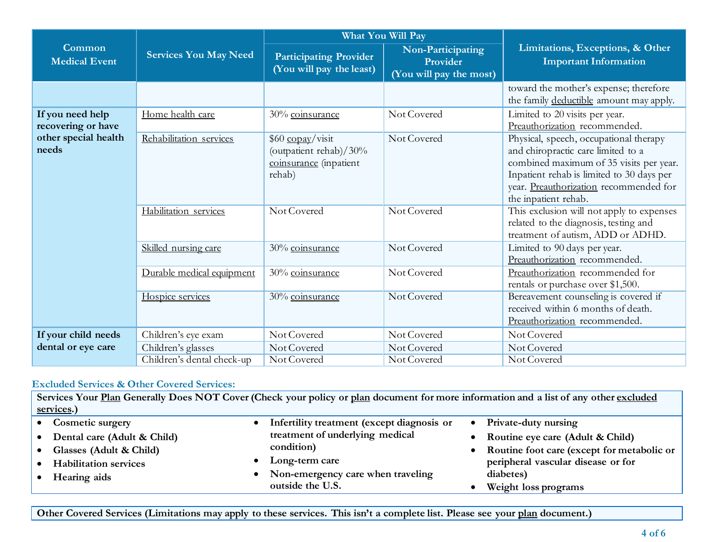|                                        |                              | What You Will Pay                                                              |                                                          |                                                                                                                                                                                                                                        |  |
|----------------------------------------|------------------------------|--------------------------------------------------------------------------------|----------------------------------------------------------|----------------------------------------------------------------------------------------------------------------------------------------------------------------------------------------------------------------------------------------|--|
| Common<br><b>Medical Event</b>         | <b>Services You May Need</b> | <b>Participating Provider</b><br>(You will pay the least)                      | Non-Participating<br>Provider<br>(You will pay the most) | Limitations, Exceptions, & Other<br><b>Important Information</b>                                                                                                                                                                       |  |
|                                        |                              |                                                                                |                                                          | toward the mother's expense; therefore<br>the family deductible amount may apply.                                                                                                                                                      |  |
| If you need help<br>recovering or have | Home health care             | 30% coinsurance                                                                | Not Covered                                              | Limited to 20 visits per year.<br>Preauthorization recommended.                                                                                                                                                                        |  |
| other special health<br>needs          | Rehabilitation services      | \$60 copay/visit<br>(outpatient rehab)/30%<br>coinsurance (inpatient<br>rehab) | Not Covered                                              | Physical, speech, occupational therapy<br>and chiropractic care limited to a<br>combined maximum of 35 visits per year.<br>Inpatient rehab is limited to 30 days per<br>year. Preauthorization recommended for<br>the inpatient rehab. |  |
|                                        | Habilitation services        | Not Covered                                                                    | Not Covered                                              | This exclusion will not apply to expenses<br>related to the diagnosis, testing and<br>treatment of autism, ADD or ADHD.                                                                                                                |  |
|                                        | Skilled nursing care         | 30% coinsurance                                                                | Not Covered                                              | Limited to 90 days per year.<br>Preauthorization recommended.                                                                                                                                                                          |  |
|                                        | Durable medical equipment    | 30% coinsurance                                                                | Not Covered                                              | Preauthorization recommended for<br>rentals or purchase over \$1,500.                                                                                                                                                                  |  |
|                                        | Hospice services             | 30% coinsurance                                                                | Not Covered                                              | Bereavement counseling is covered if<br>received within 6 months of death.<br>Preauthorization recommended.                                                                                                                            |  |
| If your child needs                    | Children's eye exam          | Not Covered                                                                    | Not Covered                                              | Not Covered                                                                                                                                                                                                                            |  |
| dental or eye care                     | Children's glasses           | Not Covered                                                                    | Not Covered                                              | Not Covered                                                                                                                                                                                                                            |  |
|                                        | Children's dental check-up   | Not Covered                                                                    | Not Covered                                              | Not Covered                                                                                                                                                                                                                            |  |

## **Excluded Services & Other Covered Services:**

**Services Your Plan Generally Does NOT Cover (Check your policy or plan document for more information and a list of any other excluded services.)** • **Cosmetic surgery** • **Dental care (Adult & Child)** • **Glasses (Adult & Child)** • **Infertility treatment (except diagnosis or treatment of underlying medical condition)** • **Private-duty nursing** • **Routine eye care (Adult & Child)** • **Routine foot care (except for metabolic or** 

- **Habilitation services**
- **Hearing aids**
- **Long-term care**
- **Non-emergency care when traveling outside the U.S.**
- **peripheral vascular disease or for diabetes)**
- **Weight loss programs**

**Other Covered Services (Limitations may apply to these services. This isn't a complete list. Please see your plan document.)**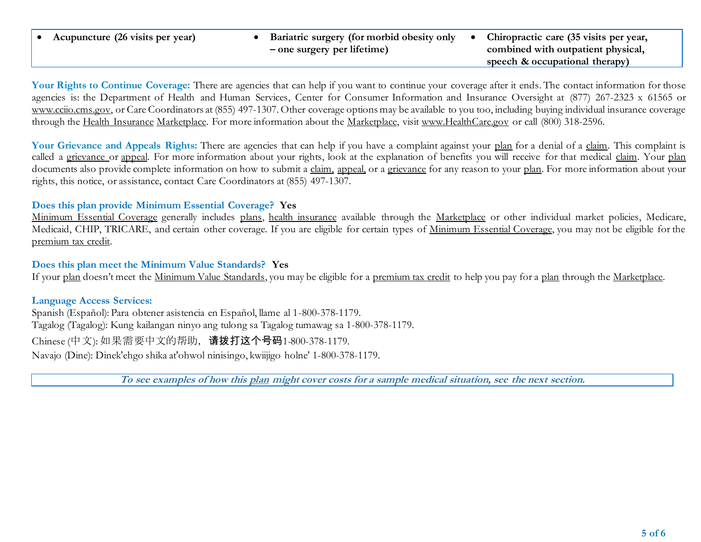• **Acupuncture (26 visits per year)** • **Bariatric surgery (for morbid obesity only – one surgery per lifetime)** • **Chiropractic care (35 visits per year, combined with outpatient physical, speech & occupational therapy)**

Your Rights to Continue Coverage: There are agencies that can help if you want to continue your coverage after it ends. The contact information for those agencies is: the Department of Health and Human Services, Center for Consumer Information and Insurance Oversight at (877) 267-2323 x 61565 or www.cciio.cms.gov, or Care Coordinators at (855) 497-1307. Other coverage options may be available to you too, including buying individual insurance coverage through the Health Insurance Marketplace. For more information about the Marketplace, visit [www.HealthCare.gov](http://www.healthcare.gov/) or call (800) 318-2596.

Your Grievance and Appeals Rights: There are agencies that can help if you have a complaint against your plan for a denial of a claim. This complaint is called a grievance or appeal. For more information about your rights, look at the explanation of benefits you will receive for that medical claim. Your plan documents also provide complete information on how to submit a claim, appeal, or a grievance for any reason to your plan. For more information about your rights, this notice, or assistance, contact Care Coordinators at (855) 497-1307.

#### **Does this plan provide Minimum Essential Coverage? Yes**

Minimum Essential Coverage generally includes plans, health insurance available through the Marketplace or other individual market policies, Medicare, Medicaid, CHIP, TRICARE, and certain other coverage. If you are eligible for certain types of Minimum Essential Coverage, you may not be eligible for the premium tax credit.

## **Does this plan meet the Minimum Value Standards? Yes**

If your plan doesn't meet the Minimum Value Standards, you may be eligible for a premium tax credit to help you pay for a plan through the Marketplace.

## **Language Access Services:**

Spanish (Español): Para obtener asistencia en Español, llame al 1-800-378-1179. Tagalog (Tagalog): Kung kailangan ninyo ang tulong sa Tagalog tumawag sa 1-800-378-1179.

Chinese (中文): 如果需要中文的帮助,请拨打这个号码1-800-378-1179.

Navajo (Dine): Dinek'ehgo shika at'ohwol ninisingo, kwiijigo holne' 1-800-378-1179.

**To see examples of how this plan might cover costs for a sample medical situation, see the next section.**